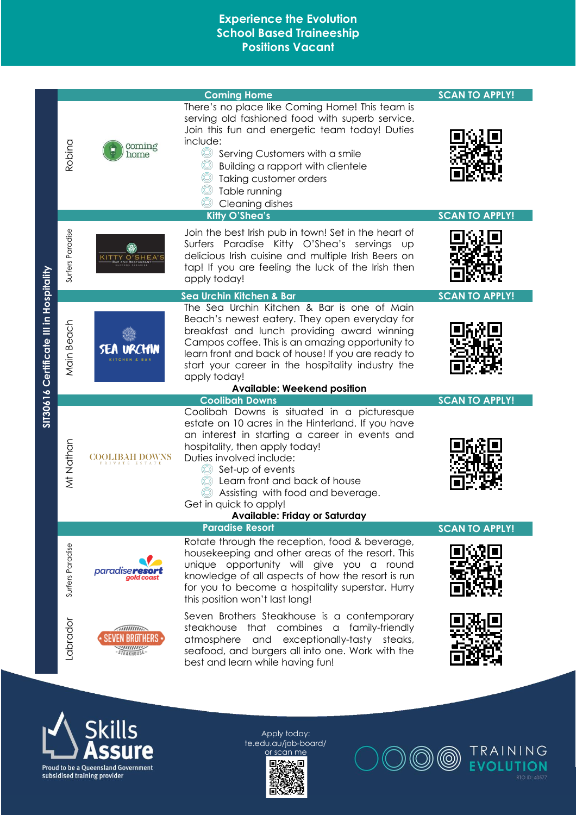|                                         |                  |                                                      | <b>Coming Home</b>                                                                                                                                                                                                                                                                                                                                                           | <b>SCAN TO APPLY!</b> |
|-----------------------------------------|------------------|------------------------------------------------------|------------------------------------------------------------------------------------------------------------------------------------------------------------------------------------------------------------------------------------------------------------------------------------------------------------------------------------------------------------------------------|-----------------------|
|                                         | Robina           | coming<br>home                                       | There's no place like Coming Home! This team is<br>serving old fashioned food with superb service.<br>Join this fun and energetic team today! Duties<br>include:<br>O<br>Serving Customers with a smile<br>Building a rapport with clientele<br>Taking customer orders<br>Table running<br>Cleaning dishes<br><b>Kitty O'Shea's</b>                                          | <b>SCAN TO APPLY!</b> |
|                                         |                  |                                                      |                                                                                                                                                                                                                                                                                                                                                                              |                       |
|                                         | Surfers Paradise | KITTY O'SHEA'!                                       | Join the best Irish pub in town! Set in the heart of<br>Surfers Paradise Kitty O'Shea's servings up<br>delicious Irish cuisine and multiple Irish Beers on<br>tap! If you are feeling the luck of the Irish then<br>apply today!                                                                                                                                             |                       |
|                                         |                  |                                                      | Sea Urchin Kitchen & Bar                                                                                                                                                                                                                                                                                                                                                     | <b>SCAN TO APPLY!</b> |
| SIT30616 Certificate III in Hospitality | Main Beach       | <b>SEA URCHIN</b>                                    | The Sea Urchin Kitchen & Bar is one of Main<br>Beach's newest eatery. They open everyday for<br>breakfast and lunch providing award winning<br>Campos coffee. This is an amazing opportunity to<br>learn front and back of house! If you are ready to<br>start your career in the hospitality industry the<br>apply today!<br><b>Available: Weekend position</b>             |                       |
|                                         |                  |                                                      | <b>Coolibah Downs</b>                                                                                                                                                                                                                                                                                                                                                        | <b>SCAN TO APPLY!</b> |
|                                         | Mt Nathan        | COOLIBAH DOWNS                                       | Coolibah Downs is situated in a picturesque<br>estate on 10 acres in the Hinterland. If you have<br>an interest in starting a career in events and<br>hospitality, then apply today!<br>Duties involved include:<br>Set-up of events<br>Learn front and back of house<br>Assisting with food and beverage.<br>Get in quick to apply!<br><b>Available: Friday or Saturday</b> |                       |
|                                         |                  |                                                      | <b>Paradise Resort</b>                                                                                                                                                                                                                                                                                                                                                       | <b>SCAN TO APPLY!</b> |
|                                         | Surfers Paradise | <i>paradiser</i><br>gold coast                       | Rotate through the reception, food & beverage,<br>housekeeping and other areas of the resort. This<br>unique opportunity will give you a round<br>knowledge of all aspects of how the resort is run<br>for you to become a hospitality superstar. Hurry<br>this position won't last long!                                                                                    |                       |
|                                         | Labrador         | $\sqrt{1111111111}$<br>SEVEN BROTHERS<br>STEAKHOUSE- | Seven Brothers Steakhouse is a contemporary<br>steakhouse that combines a family-friendly<br>atmosphere and exceptionally-tasty steaks,<br>seafood, and burgers all into one. Work with the<br>best and learn while having fun!                                                                                                                                              |                       |





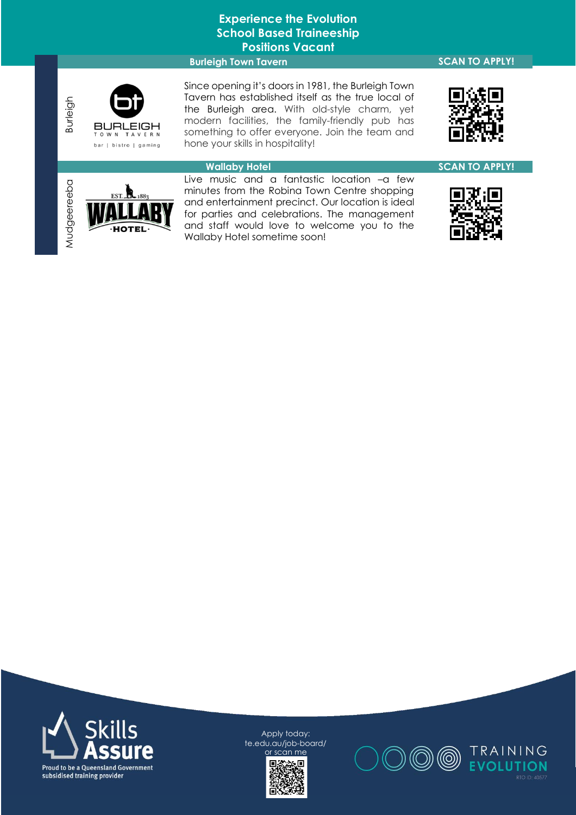#### **Burleigh Town Tavern SCAN TO APPLY!**

BURLEIGH bar | bistro | gaming

Burleigh

Mudgeereeba

Since opening it's doors in 1981, the Burleigh Town Tavern has established itself as the true local of the Burleigh area. With old-style charm, yet modern facilities, the family-friendly pub has something to offer everyone. Join the team and hone your skills in hospitality!



# ΈL

**Wallaby Hotel SCAN TO APPLY!** Live music and a fantastic location –a few minutes from the Robina Town Centre shopping and entertainment precinct. Our location is ideal for parties and celebrations. The management and staff would love to welcome you to the Wallaby Hotel sometime soon!







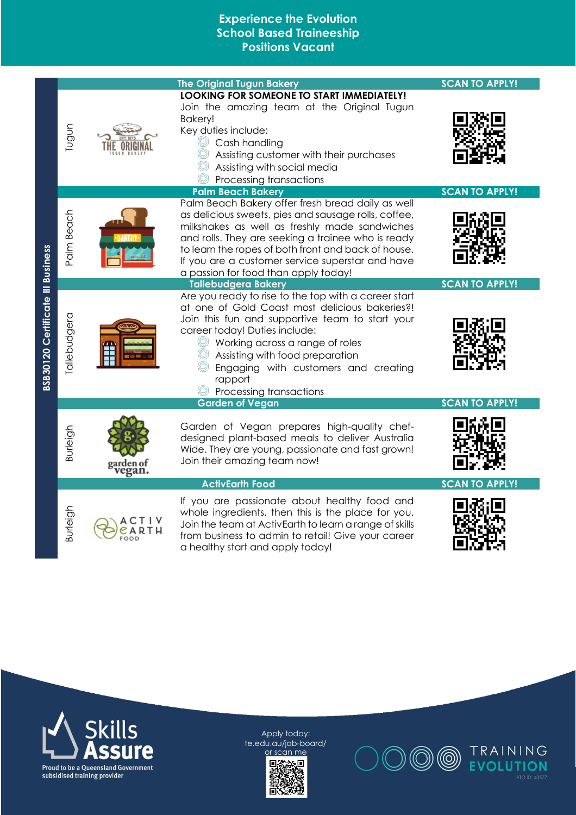|                                   |              |     | <b>The Original Tugun Bakery</b>                                                                                                                                                                                                                                                                                                                                                                       | <b>SCAN TO APPLY!</b>                          |
|-----------------------------------|--------------|-----|--------------------------------------------------------------------------------------------------------------------------------------------------------------------------------------------------------------------------------------------------------------------------------------------------------------------------------------------------------------------------------------------------------|------------------------------------------------|
| BSB30120 Certificate III Business | Tugun        |     | LOOKING FOR SOMEONE TO START IMMEDIATELY!<br>Join the amazing team at the Original Tugun<br>Bakery!<br>Key duties include:<br>Cash handling<br>Assisting customer with their purchases<br>Assisting with social media<br>Processing transactions                                                                                                                                                       |                                                |
|                                   | Palm Beach   |     | <b>Palm Beach Bakery</b><br>Palm Beach Bakery offer fresh bread daily as well<br>as delicious sweets, pies and sausage rolls, coffee,<br>milkshakes as well as freshly made sandwiches<br>and rolls. They are seeking a trainee who is ready<br>to learn the ropes of both front and back of house.<br>If you are a customer service superstar and have<br>a passion for food than apply today!        | <b>SCAN TO APPLY!</b>                          |
|                                   | Tallebudgera |     | <b>Tallebudgera Bakery</b><br>Are you ready to rise to the top with a career start<br>at one of Gold Coast most delicious bakeries?!<br>Join this fun and supportive team to start your<br>career today! Duties include:<br>Working across a range of roles<br>Assisting with food preparation<br>Engaging with customers and creating<br>rapport<br>Processing transactions<br><b>Garden of Vegan</b> | <b>SCAN TO APPLY!</b><br><b>SCAN TO APPLY!</b> |
|                                   | Burleigh     |     | Garden of Vegan prepares high-quality chef-<br>designed plant-based meals to deliver Australia<br>Wide. They are young, passionate and fast grown!<br>Join their amazing team now!                                                                                                                                                                                                                     |                                                |
|                                   |              |     | <b>ActivEarth Food</b>                                                                                                                                                                                                                                                                                                                                                                                 | <b>SCAN TO APPLY!</b>                          |
|                                   | Burleigh     | 00D | If you are passionate about healthy food and<br>whole ingredients, then this is the place for you.<br>Join the team at ActivEarth to learn a range of skills<br>from business to admin to retail! Give your career<br>a healthy start and apply today!                                                                                                                                                 |                                                |





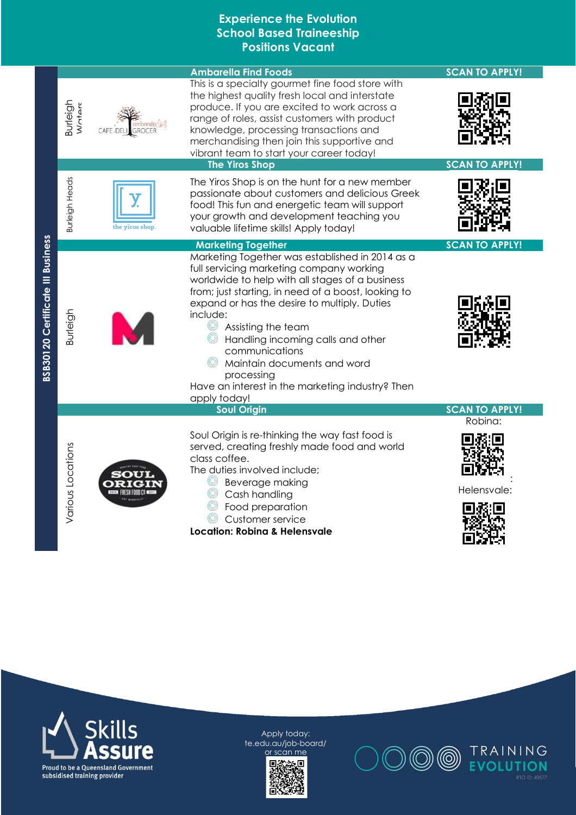|                                          |                           |                             | <b>Ambarella Find Foods</b>                                                                                                                                                                                                                                                                                                                                                                                                                                     | <b>SCAN TO APPLY!</b>  |
|------------------------------------------|---------------------------|-----------------------------|-----------------------------------------------------------------------------------------------------------------------------------------------------------------------------------------------------------------------------------------------------------------------------------------------------------------------------------------------------------------------------------------------------------------------------------------------------------------|------------------------|
|                                          | <b>Burleigh</b><br>Wotars | <b>GROCER</b><br>CAFE, DELI | This is a specialty gourmet fine food store with<br>the highest quality fresh local and interstate<br>produce. If you are excited to work across a<br>range of roles, assist customers with product<br>knowledge, processing transactions and<br>merchandising then join this supportive and<br>vibrant team to start your career today!                                                                                                                        |                        |
|                                          |                           |                             | <b>The Yiros Shop</b>                                                                                                                                                                                                                                                                                                                                                                                                                                           | <b>SCAN TO APPLY!</b>  |
|                                          | <b>Burleigh Heads</b>     | the yiros shop              | The Yiros Shop is on the hunt for a new member<br>passionate about customers and delicious Greek<br>food! This fun and energetic team will support<br>your growth and development teaching you<br>valuable lifetime skills! Apply today!                                                                                                                                                                                                                        |                        |
|                                          |                           |                             | <b>Marketing Together</b>                                                                                                                                                                                                                                                                                                                                                                                                                                       | <b>SCAN TO APPLY!</b>  |
| <b>BSB30120 Certificate III Business</b> | Burleigh                  |                             | Marketing Together was established in 2014 as a<br>full servicing marketing company working<br>worldwide to help with all stages of a business<br>from; just starting, in need of a boost, looking to<br>expand or has the desire to multiply. Duties<br>include:<br>Assisting the team<br>Handling incoming calls and other<br>communications<br>Maintain documents and word<br>processing<br>Have an interest in the marketing industry? Then<br>apply today! |                        |
|                                          |                           |                             | <b>Soul Origin</b>                                                                                                                                                                                                                                                                                                                                                                                                                                              | <b>SCAN TO APPLY!</b>  |
|                                          | Various Locations         |                             | Soul Origin is re-thinking the way fast food is<br>served, creating freshly made food and world<br>class coffee.<br>The duties involved include;<br>Beverage making<br>Cash handling<br>Food preparation<br>Customer service<br><b>Location: Robina &amp; Helensvale</b>                                                                                                                                                                                        | Robina:<br>Helensvale: |





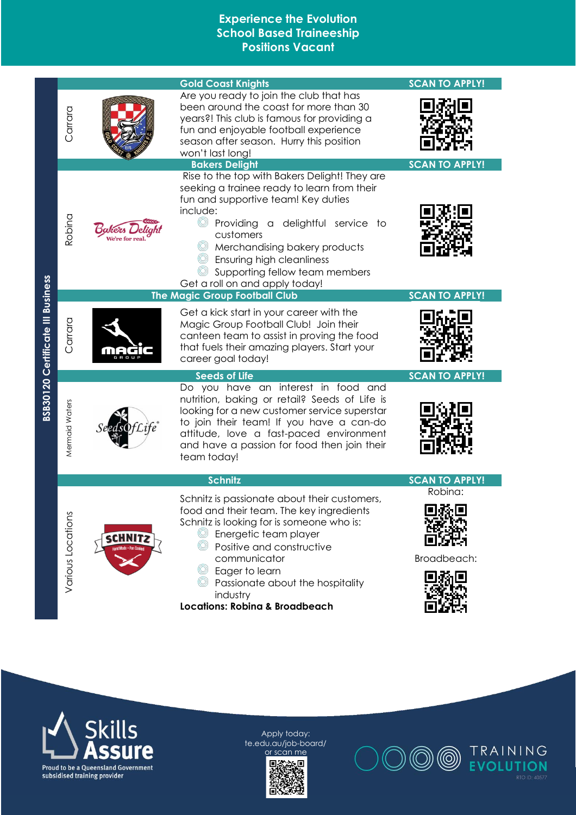|                   |         | <b>Gold Coast Knights</b>                                                                                                                                                                                                                                                                                                              | <b>SCAN TO APPLY!</b>  |
|-------------------|---------|----------------------------------------------------------------------------------------------------------------------------------------------------------------------------------------------------------------------------------------------------------------------------------------------------------------------------------------|------------------------|
| Carrara           |         | Are you ready to join the club that has<br>been around the coast for more than 30<br>years?! This club is famous for providing a<br>fun and enjoyable football experience<br>season after season. Hurry this position<br>won't last long!                                                                                              |                        |
|                   |         | <b>Bakers Delight</b><br>Rise to the top with Bakers Delight! They are                                                                                                                                                                                                                                                                 | <b>SCAN TO APPLY!</b>  |
| Robina            |         | seeking a trainee ready to learn from their<br>fun and supportive team! Key duties<br>include:<br>O<br>Providing a delightful service to<br>customers<br>Merchandising bakery products<br><b>Ensuring high cleanliness</b><br>Supporting fellow team members<br>Get a roll on and apply today!<br><b>The Magic Group Football Club</b> | <b>SCAN TO APPLY!</b>  |
| Carrara           |         | Get a kick start in your career with the<br>Magic Group Football Club! Join their<br>canteen team to assist in proving the food<br>that fuels their amazing players. Start your<br>career goal today!                                                                                                                                  |                        |
|                   |         | <b>Seeds of Life</b><br>Do you have an interest in food and                                                                                                                                                                                                                                                                            | <b>SCAN TO APPLY!</b>  |
| Mermaid Waters    |         | nutrition, baking or retail? Seeds of Life is<br>looking for a new customer service superstar<br>to join their team! If you have a can-do<br>attitude, love a fast-paced environment<br>and have a passion for food then join their<br>team today!                                                                                     |                        |
|                   |         | <b>Schnitz</b>                                                                                                                                                                                                                                                                                                                         | <b>SCAN TO APPLY!</b>  |
| Various Locations | sCHNIT: | Schnitz is passionate about their customers,<br>food and their team. The key ingredients<br>Schnitz is looking for is someone who is:<br>C Energetic team player<br>Positive and constructive<br>communicator<br>Eager to learn<br>Passionate about the hospitality<br>industry<br><b>Locations: Robina &amp; Broadbeach</b>           | Robina:<br>Broadbeach: |





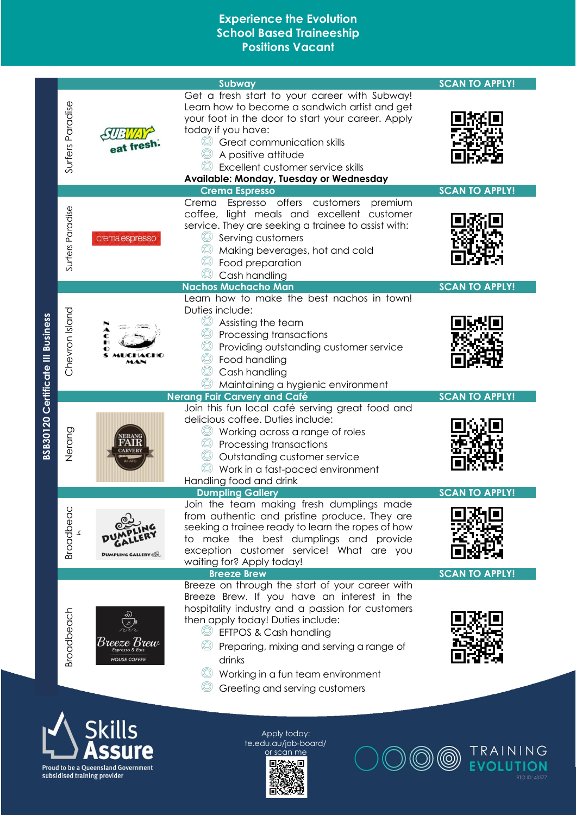|                                          |                  |                                                                                      | Subway                                                                                                                                                                                                                                                                                                                                                               | <b>SCAN TO APPLY!</b> |
|------------------------------------------|------------------|--------------------------------------------------------------------------------------|----------------------------------------------------------------------------------------------------------------------------------------------------------------------------------------------------------------------------------------------------------------------------------------------------------------------------------------------------------------------|-----------------------|
|                                          | Surfers Paradise | eat fresh.                                                                           | Get a fresh start to your career with Subway!<br>Learn how to become a sandwich artist and get<br>your foot in the door to start your career. Apply<br>today if you have:<br>Great communication skills<br>A positive attitude<br>Excellent customer service skills<br>Available: Monday, Tuesday or Wednesday                                                       |                       |
|                                          |                  |                                                                                      | <b>Crema Espresso</b><br>Espresso offers customers<br>premium<br>Crema                                                                                                                                                                                                                                                                                               | <b>SCAN TO APPLY!</b> |
|                                          | Surfers Paradise | crema espresso                                                                       | coffee, light meals and excellent customer<br>service. They are seeking a trainee to assist with:<br>Serving customers<br>Making beverages, hot and cold<br>Food preparation<br>Cash handling                                                                                                                                                                        |                       |
|                                          |                  |                                                                                      | <b>Nachos Muchacho Man</b>                                                                                                                                                                                                                                                                                                                                           | <b>SCAN TO APPLY!</b> |
| <b>BSB30120 Certificate III Business</b> | Chevron Island   |                                                                                      | Learn how to make the best nachos in town!<br>Duties include:<br>Assisting the team<br>Processing transactions<br>Providing outstanding customer service<br>Food handling<br>Cash handling<br>Maintaining a hygienic environment                                                                                                                                     |                       |
|                                          |                  |                                                                                      | <b>Nerang Fair Carvery and Café</b>                                                                                                                                                                                                                                                                                                                                  | <b>SCAN TO APPLY!</b> |
|                                          | Nerang           |                                                                                      | Join this fun local café serving great food and<br>delicious coffee. Duties include:<br>Working across a range of roles<br>Processing transactions<br>Outstanding customer service<br>Work in a fast-paced environment<br>Handling food and drink                                                                                                                    |                       |
|                                          | Broadbeac        | <b>DUMPLING GALLERY</b>                                                              | <b>Dumpling Gallery</b><br>Join the team making fresh dumplings made<br>from authentic and pristine produce. They are<br>seeking a trainee ready to learn the ropes of how<br>to make the best dumplings and provide<br>exception customer service! What are you<br>waiting for? Apply today!                                                                        | <b>SCAN TO APPLY!</b> |
|                                          | Broadbeach       | Breeze Brew<br>Espresso & Eats<br><b>HOUSE COFFEE</b>                                | <b>Breeze Brew</b><br>Breeze on through the start of your career with<br>Breeze Brew. If you have an interest in the<br>hospitality industry and a passion for customers<br>then apply today! Duties include:<br>EFTPOS & Cash handling<br>Preparing, mixing and serving a range of<br>drinks<br>Working in a fun team environment<br>Greeting and serving customers | <b>SCAN TO APPLY!</b> |
|                                          |                  | <b>Skills</b><br>Proud to be a Queensland Government<br>subsidised training provider | Apply today:<br>te.edu.au/job-board/<br>or scan me                                                                                                                                                                                                                                                                                                                   | TRAINING              |

Apply today: trainingevolution.<br>Edu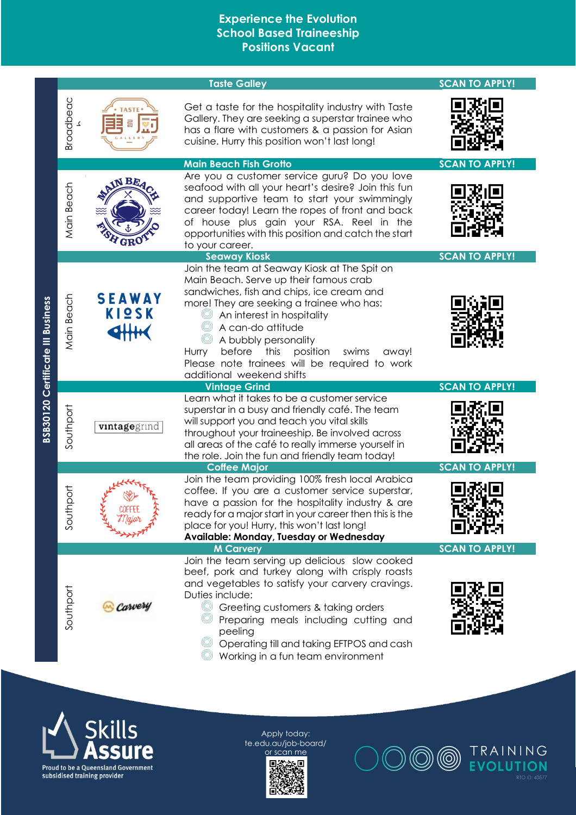|                                          |                  |                        | <b>Taste Galley</b>                                                                                                                                                                                                                                                                                                                                                                                | <b>SCAN TO APPLY!</b> |
|------------------------------------------|------------------|------------------------|----------------------------------------------------------------------------------------------------------------------------------------------------------------------------------------------------------------------------------------------------------------------------------------------------------------------------------------------------------------------------------------------------|-----------------------|
|                                          | Broadbeac        |                        | Get a taste for the hospitality industry with Taste<br>Gallery. They are seeking a superstar trainee who<br>has a flare with customers & a passion for Asian<br>cuisine. Hurry this position won't last long!                                                                                                                                                                                      |                       |
|                                          |                  |                        | <b>Main Beach Fish Grotto</b>                                                                                                                                                                                                                                                                                                                                                                      | <b>SCAN TO APPLY!</b> |
|                                          | Main Beach       | IN BE                  | Are you a customer service guru? Do you love<br>seafood with all your heart's desire? Join this fun<br>and supportive team to start your swimmingly<br>career today! Learn the ropes of front and back<br>of house plus gain your RSA. Reel in the<br>opportunities with this position and catch the start<br>to your career.                                                                      |                       |
|                                          |                  |                        | <b>Seaway Kiosk</b>                                                                                                                                                                                                                                                                                                                                                                                | <b>SCAN TO APPLY!</b> |
| <b>BSB30120 Certificate III Business</b> | Main Beach       | <b>SEAWAY</b><br>KIQSK | Join the team at Seaway Kiosk at The Spit on<br>Main Beach. Serve up their famous crab<br>sandwiches, fish and chips, ice cream and<br>more! They are seeking a trainee who has:<br>An interest in hospitality<br>A can-do attitude<br>A bubbly personality<br>before<br>position<br>Hurry<br>this<br>swims<br>away!<br>Please note trainees will be required to work<br>additional weekend shifts |                       |
|                                          |                  |                        | <b>Vintage Grind</b>                                                                                                                                                                                                                                                                                                                                                                               | <b>SCAN TO APPLY!</b> |
|                                          | Southport        | vintagegrind           | Learn what it takes to be a customer service<br>superstar in a busy and friendly café. The team<br>will support you and teach you vital skills<br>throughout your traineeship. Be involved across<br>all areas of the café to really immerse yourself in<br>the role. Join the fun and friendly team today!                                                                                        |                       |
|                                          |                  |                        | <b>Coffee Major</b>                                                                                                                                                                                                                                                                                                                                                                                | <b>SCAN TO APPLY!</b> |
|                                          | to<br>O<br>South |                        | Join the team providing 100% fresh local Arabica<br>coffee. If you are a customer service superstar,<br>have a passion for the hospitality industry & are<br>ready for a major start in your career then this is the<br>place for you! Hurry, this won't last long!<br>Available: Monday, Tuesday or Wednesday                                                                                     |                       |
|                                          |                  |                        | <b>M Carvery</b>                                                                                                                                                                                                                                                                                                                                                                                   | <b>SCAN TO APPLY!</b> |
|                                          | Southport        | Carvery                | Join the team serving up delicious slow cooked<br>beef, pork and turkey along with crisply roasts<br>and vegetables to satisfy your carvery cravings.<br>Duties include:<br>Q<br>Greeting customers & taking orders<br>Preparing meals including cutting and<br>peeling<br>Operating till and taking EFTPOS and cash<br>Working in a fun team environment                                          |                       |



Apply today: te.edu.au/job -board/ or scan me



TRAINING<br>EVOLUTION (O)  $\circledcirc$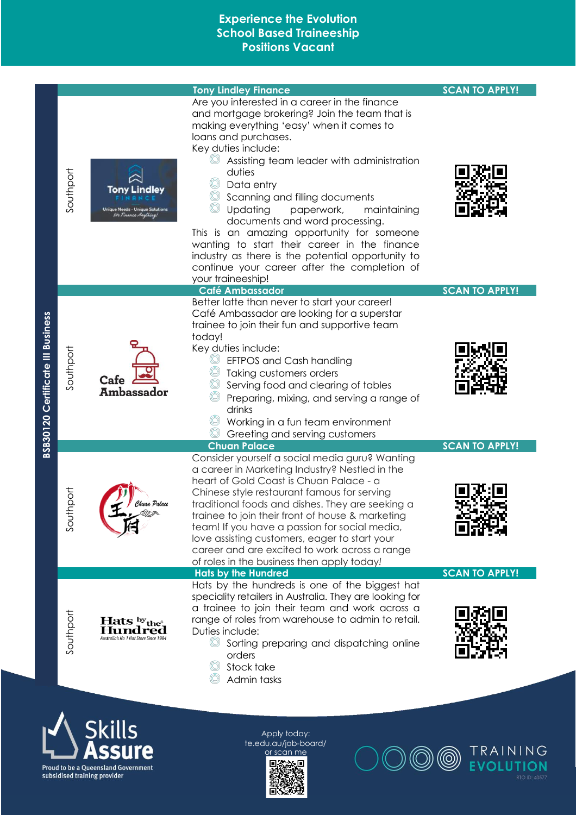

**Proud to be a Queensland Government** subsidised training provider

or scan me



**EVOLUTION**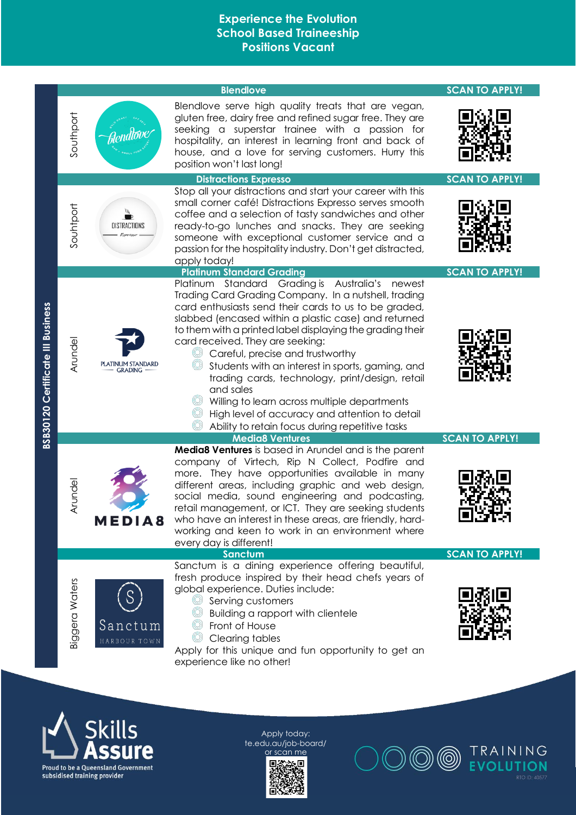



Apply today: te.edu.au/job -board/ or scan me



TRAINING **EVOLUTION**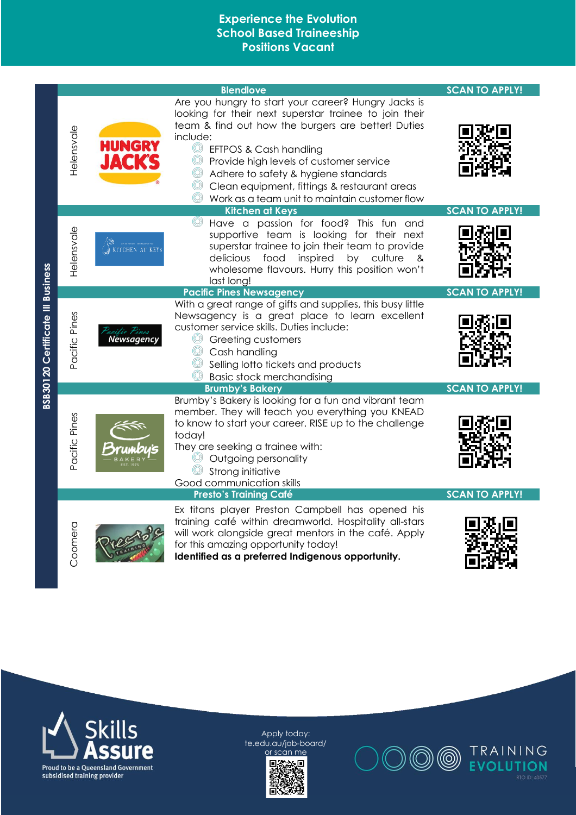| <b>BSB30120 Certificate III Business</b> | Helensvale       | <b>HUNGRY</b><br><b>JACK'S</b> | <b>Blendlove</b><br>Are you hungry to start your career? Hungry Jacks is<br>looking for their next superstar trainee to join their<br>team & find out how the burgers are better! Duties<br>include:<br>$^{\circ}$<br>EFTPOS & Cash handling<br>Provide high levels of customer service<br>O<br>Adhere to safety & hygiene standards<br>Clean equipment, fittings & restaurant areas<br>Work as a team unit to maintain customer flow | <b>SCAN TO APPLY!</b>                          |
|------------------------------------------|------------------|--------------------------------|---------------------------------------------------------------------------------------------------------------------------------------------------------------------------------------------------------------------------------------------------------------------------------------------------------------------------------------------------------------------------------------------------------------------------------------|------------------------------------------------|
|                                          | Helensvale       | KITCHEN AT KEY                 | <b>Kitchen at Keys</b><br>Have a passion for food? This fun and<br>$^{\circledR}$<br>supportive team is looking for their next<br>superstar trainee to join their team to provide<br>delicious<br>food<br>inspired<br>by culture<br>&<br>wholesome flavours. Hurry this position won't<br>last long!                                                                                                                                  | <b>SCAN TO APPLY!</b>                          |
|                                          | Pines<br>Pacific | Newsagency                     | <b>Pacific Pines Newsagency</b><br>With a great range of gifts and supplies, this busy little<br>Newsagency is a great place to learn excellent<br>customer service skills. Duties include:<br>Greeting customers<br>Cash handling<br>Selling lotto tickets and products<br><b>Basic stock merchandising</b>                                                                                                                          | <b>SCAN TO APPLY!</b>                          |
|                                          | Pacific Pines    |                                | <b>Brumby's Bakery</b><br>Brumby's Bakery is looking for a fun and vibrant team<br>member. They will teach you everything you KNEAD<br>to know to start your career. RISE up to the challenge<br>today!<br>They are seeking a trainee with:<br>Outgoing personality<br>Strong initiative<br>Good communication skills<br><b>Presto's Training Café</b>                                                                                | <b>SCAN TO APPLY!</b><br><b>SCAN TO APPLY!</b> |
|                                          | Coomera          |                                | Ex titans player Preston Campbell has opened his<br>training café within dreamworld. Hospitality all-stars<br>will work alongside great mentors in the café. Apply<br>for this amazing opportunity today!<br>Identified as a preferred Indigenous opportunity.                                                                                                                                                                        |                                                |





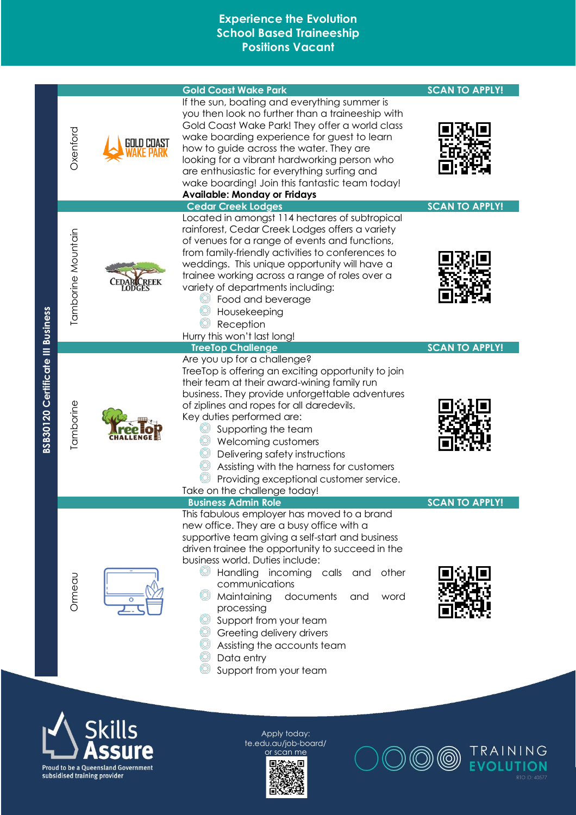|                                          |                    | <b>Gold Coast Wake Park</b>                                                                                                                                                                                                                                                                                                                                                                                                                                                                           | <b>SCAN TO APPLY!</b> |
|------------------------------------------|--------------------|-------------------------------------------------------------------------------------------------------------------------------------------------------------------------------------------------------------------------------------------------------------------------------------------------------------------------------------------------------------------------------------------------------------------------------------------------------------------------------------------------------|-----------------------|
|                                          | Oxenford           | If the sun, boating and everything summer is<br>you then look no further than a traineeship with<br>Gold Coast Wake Park! They offer a world class<br>wake boarding experience for guest to learn<br>how to guide across the water. They are<br>looking for a vibrant hardworking person who<br>are enthusiastic for everything surfing and<br>wake boarding! Join this fantastic team today!<br><b>Available: Monday or Fridays</b>                                                                  |                       |
|                                          |                    | <b>Cedar Creek Lodges</b>                                                                                                                                                                                                                                                                                                                                                                                                                                                                             | <b>SCAN TO APPLY!</b> |
|                                          | Tamborine Mountain | Located in amongst 114 hectares of subtropical<br>rainforest, Cedar Creek Lodges offers a variety<br>of venues for a range of events and functions,<br>from family-friendly activities to conferences to<br>weddings. This unique opportunity will have a<br>trainee working across a range of roles over a<br>variety of departments including:<br>Food and beverage<br>Housekeeping<br>Reception<br>Hurry this won't last long!                                                                     |                       |
|                                          |                    | <b>TreeTop Challenge</b>                                                                                                                                                                                                                                                                                                                                                                                                                                                                              | <b>SCAN TO APPLY!</b> |
| <b>BSB30120 Certificate III Business</b> | Tamborine          | Are you up for a challenge?<br>TreeTop is offering an exciting opportunity to join<br>their team at their award-wining family run<br>business. They provide unforgettable adventures<br>of ziplines and ropes for all daredevils.<br>Key duties performed are:<br>Supporting the team<br>Welcoming customers<br>© Delivering safety instructions<br>Assisting with the harness for customers<br>Providing exceptional customer service.<br>Take on the challenge today!                               |                       |
|                                          |                    | <b>Business Admin Role</b>                                                                                                                                                                                                                                                                                                                                                                                                                                                                            | <b>SCAN TO APPLY!</b> |
|                                          | Ormeau             | This fabulous employer has moved to a brand<br>new office. They are a busy office with a<br>supportive team giving a self-start and business<br>driven trainee the opportunity to succeed in the<br>business world. Duties include:<br>Handling incoming calls and other<br>(Q)<br>communications<br>Maintaining<br>documents<br>and<br>word<br>processing<br>Support from your team<br><sup>©</sup> Greeting delivery drivers<br>Assisting the accounts team<br>Data entry<br>Support from your team |                       |





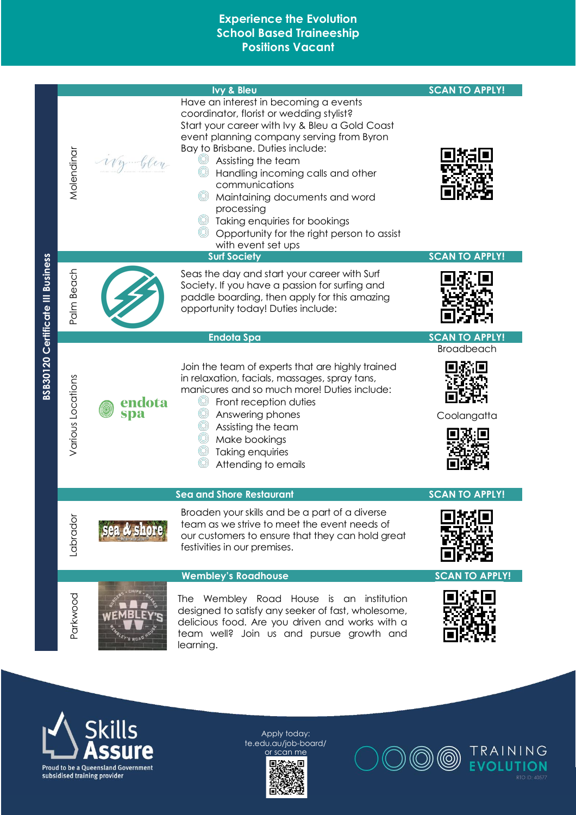





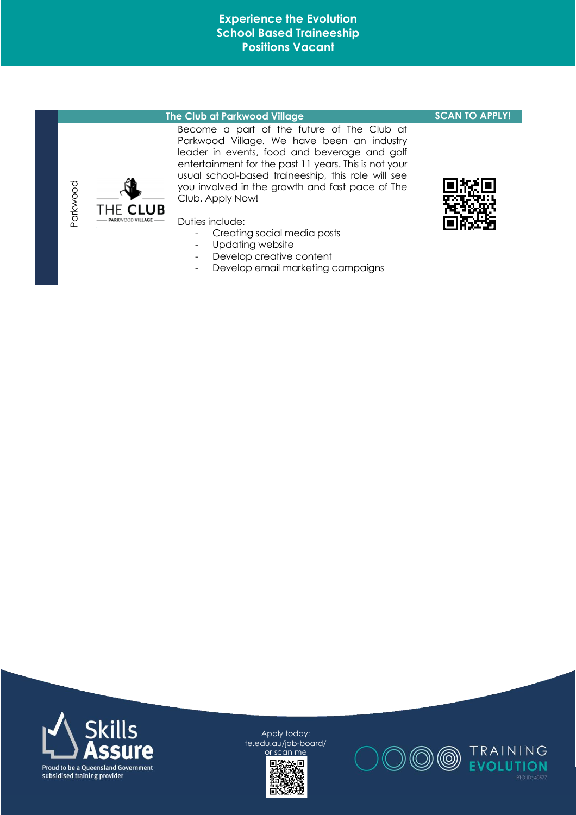#### **The Club at Parkwood Village Club SCAN TO APPLY!**

Become a part of the future of The Club at Parkwood Village. We have been an industry leader in events, food and beverage and golf entertainment for the past 11 years. This is not your usual school-based traineeship, this role will see you involved in the growth and fast pace of The Club. Apply Now!

Duties include:

- Creating social media posts
- Updating website
- Develop creative content
- Develop email marketing campaigns





Apply today: te.edu.au/job-board/ or scan me





Parkwood

THE CLUB ARKWOOD VILLAGE